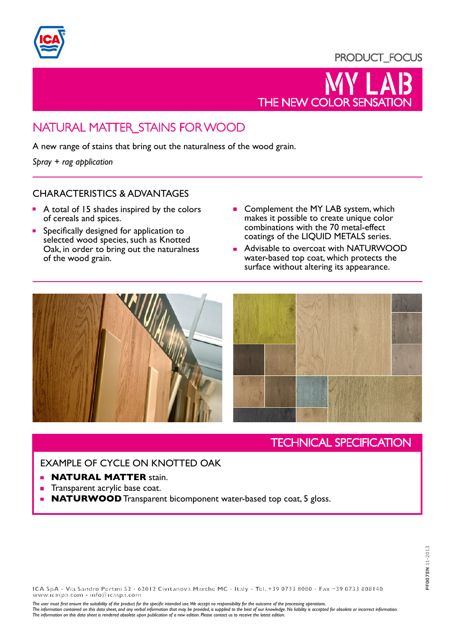

## PRODUCT\_FOCUS



# NATURAL MATTER\_STAINS FOR WOOD

A new range of stains that bring out the naturalness of the wood grain.

*Spray + rag application*

#### CHARACTERISTICS & ADVANTAGES

- A total of 15 shades inspired by the colors of cereals and spices.
- Specifically designed for application to selected wood species, such as Knotted Oak, in order to bring out the naturalness of the wood grain.
- Complement the MY LAB system, which makes it possible to create unique color combinations with the 70 metal-effect coatings of the LIQUID METALS series.
- **Advisable to overcoat with NATURWOOD** water-based top coat, which protects the surface without altering its appearance.



# TECHNICAL SPECIFICATION

### EXAMPLE OF CYCLE ON KNOTTED OAK

- **NATURAL MATTER** stain.  $\blacksquare$
- Transparent acrylic base coat.
- **NATURWOOD** Transparent bicomponent water-based top coat, 5 gloss.

**ICA SpA - Via Sandro Pertini 52 - 62012 Civitanova Marche MC - Italy - Tel. +39 0733 8080 - Fax +39 0733 808140 www.icaspa.com - info@icaspa.com**

*The user must first ensure the suitability of the product for the specific intended use. We accept no responsibility for the outcome of the processing operations.*

The information contained on this data sheet, and any verbal information that may be provided, is supplied to the best of our knowledge. No liability is accepted for obsolete or incorrect information.<br>The information on th